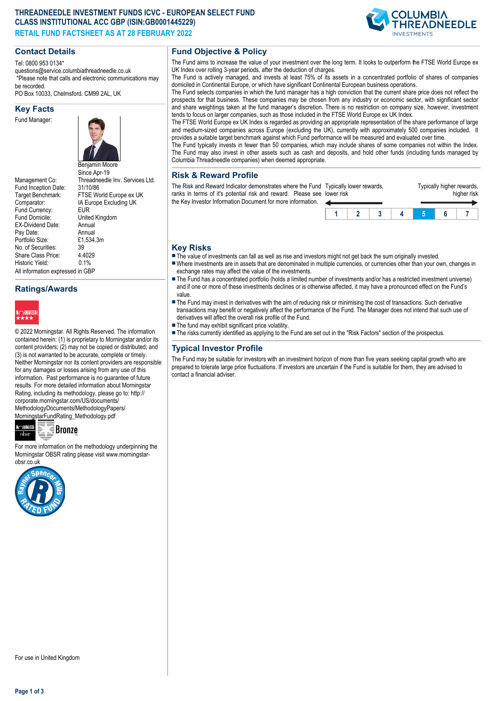## **THREADNEEDLE INVESTMENT FUNDS ICVC - EUROPEAN SELECT FUND CLASS INSTITUTIONAL ACC GBP (ISIN:GB0001445229) RETAIL FUND FACTSHEET AS AT 28 FEBRUARY 2022**

**COLUMBIA** READNEEDLE

## **Contact Details**

Tel: 0800 953 0134\* questions@service.columbiathreadneedle.co.uk \*Please note that calls and electronic communications may be recorded.

PO Box 10033, Chelmsford. CM99 2AL, UK

#### **Key Facts**

Fund Manager:



Fund Inception Date:<br>Target Benchmark: Comparator: IA Europe Excluding UK<br>
Fund Currency: EUR Fund Currency:<br>Fund Domicile: EX-Dividend Date: Annual<br>Pay Date: Annual Pay Date: Annual<br>Portfolio Size: £1.534.3m Portfolio Size: £1<br>No. of Securities: 39 No. of Securities: 39<br>Share Class Price: 4.4029 Share Class Price: Historic Vield: 0.1% All information expressed in GBP

Benjamin Moore Since Apr-19 Management Co: Threadneedle Inv. Services Ltd.<br>Fund Inception Date: 31/10/86 FTSE World Europe ex UK United Kingdom<br>Annual

### **Ratings/Awards**



© 2022 Morningstar. All Rights Reserved. The information contained herein: (1) is proprietary to Morningstar and/or its content providers; (2) may not be copied or distributed; and (3) is not warranted to be accurate, complete or timely. Neither Morningstar nor its content providers are responsible for any damages or losses arising from any use of this information. Past performance is no guarantee of future results. For more detailed information about Morningstar Rating, including its methodology, please go to: http:// corporate.morningstar.com/US/documents/ MethodologyDocuments/MethodologyPapers/ MorningstarFundRating\_Methodology.pdf



For more information on the methodology underpinning the Morningstar OBSR rating please visit www.morningstarobsr.co.uk



# **Fund Objective & Policy**

The Fund aims to increase the value of your investment over the long term. It looks to outperform the FTSE World Europe ex UK Index over rolling 3-year periods, after the deduction of charges.

The Fund is actively managed, and invests at least 75% of its assets in a concentrated portfolio of shares of companies domiciled in Continental Europe, or which have significant Continental European business operations.

The Fund selects companies in which the fund manager has a high conviction that the current share price does not reflect the prospects for that business. These companies may be chosen from any industry or economic sector, with significant sector and share weightings taken at the fund manager's discretion. There is no restriction on company size, however, investment tends to focus on larger companies, such as those included in the FTSE World Europe ex UK Index.

The FTSE World Europe ex UK Index is regarded as providing an appropriate representation of the share performance of large and medium-sized companies across Europe (excluding the UK), currently with approximately 500 companies included. It provides a suitable target benchmark against which Fund performance will be measured and evaluated over time.

The Fund typically invests in fewer than 50 companies, which may include shares of some companies not within the Index. The Fund may also invest in other assets such as cash and deposits, and hold other funds (including funds managed by Columbia Threadneedle companies) when deemed appropriate.

#### **Risk & Reward Profile**

The Risk and Reward Indicator demonstrates where the Fund Typically lower rewards, ranks in terms of it's potential risk and reward. Please see lower risk the Key Investor Information Document for more information. ◢

| er risk | pically lower rewards. |  | Typically higher rewards, | higher risk |  |
|---------|------------------------|--|---------------------------|-------------|--|
|         |                        |  |                           |             |  |

## **Key Risks**

 $\blacksquare$  The value of investments can fall as well as rise and investors might not get back the sum originally invested.

- nWhere investments are in assets that are denominated in multiple currencies, or currencies other than your own, changes in exchange rates may affect the value of the investments.
- The Fund has a concentrated portfolio (holds a limited number of investments and/or has a restricted investment universe) and if one or more of these investments declines or is otherwise affected, it may have a pronounced effect on the Fund's value.
- The Fund may invest in derivatives with the aim of reducing risk or minimising the cost of transactions. Such derivative transactions may benefit or negatively affect the performance of the Fund. The Manager does not intend that such use of derivatives will affect the overall risk profile of the Fund.
- $\blacksquare$  The fund may exhibit significant price volatility.
- n The risks currently identified as applying to the Fund are set out in the "Risk Factors" section of the prospectus.

## **Typical Investor Profile**

The Fund may be suitable for investors with an investment horizon of more than five years seeking capital growth who are prepared to tolerate large price fluctuations. If investors are uncertain if the Fund is suitable for them, they are advised to contact a financial adviser.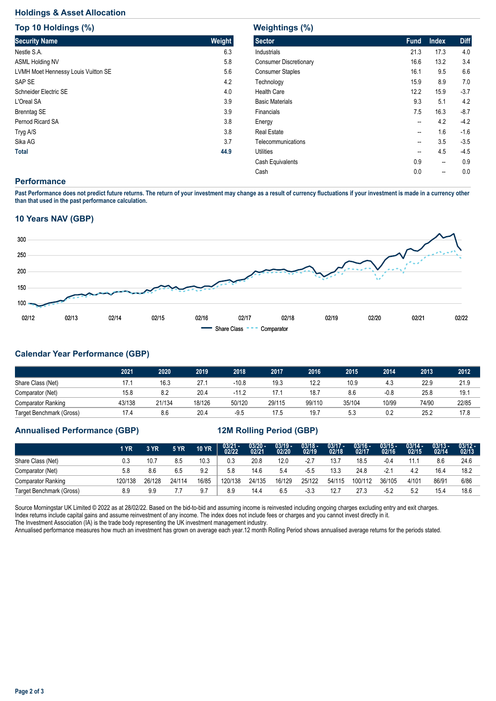# **Holdings & Asset Allocation**

| Top 10 Holdings (%)                 |        |
|-------------------------------------|--------|
| <b>Security Name</b>                | Weight |
| Nestle S.A.                         | 6.3    |
| <b>ASML Holding NV</b>              | 5.8    |
| LVMH Moet Hennessy Louis Vuitton SE | 5.6    |
| SAP SE                              | 4.2    |
| Schneider Electric SE               | 4.0    |
| L'Oreal SA                          | 3.9    |
| <b>Brenntag SE</b>                  | 3.9    |
| Pernod Ricard SA                    | 3.8    |
| Tryg A/S                            | 3.8    |
| Sika AG                             | 3.7    |
| <b>Total</b>                        | 44.9   |

| <b>Weightings (%)</b>         |             |              |             |  |  |  |  |  |  |  |  |
|-------------------------------|-------------|--------------|-------------|--|--|--|--|--|--|--|--|
| <b>Sector</b>                 | <b>Fund</b> | <b>Index</b> | <b>Diff</b> |  |  |  |  |  |  |  |  |
| Industrials                   | 21.3        | 17.3         | 4.0         |  |  |  |  |  |  |  |  |
| <b>Consumer Discretionary</b> | 16.6        | 13.2         | 3.4         |  |  |  |  |  |  |  |  |
| <b>Consumer Staples</b>       | 16.1        | 9.5          | 6.6         |  |  |  |  |  |  |  |  |
| Technology                    | 15.9        | 8.9          | 7.0         |  |  |  |  |  |  |  |  |
| Health Care                   | 12.2        | 15.9         | $-3.7$      |  |  |  |  |  |  |  |  |
| <b>Basic Materials</b>        | 9.3         | 5.1          | 4.2         |  |  |  |  |  |  |  |  |
| Financials                    | 7.5         | 16.3         | $-8.7$      |  |  |  |  |  |  |  |  |
| Energy                        | --          | 4.2          | $-4.2$      |  |  |  |  |  |  |  |  |
| <b>Real Estate</b>            | --          | 1.6          | $-1.6$      |  |  |  |  |  |  |  |  |
| Telecommunications            | --          | 3.5          | $-3.5$      |  |  |  |  |  |  |  |  |
| Utilities                     | --          | 4.5          | $-4.5$      |  |  |  |  |  |  |  |  |
| Cash Equivalents              | 0.9         | --           | 0.9         |  |  |  |  |  |  |  |  |
| Cash                          | 0.0         |              | 0.0         |  |  |  |  |  |  |  |  |

### **Performance**

**Past Performance does not predict future returns. The return of your investment may change as a result of currency fluctuations if your investment is made in a currency other than that used in the past performance calculation.** 

### **10 Years NAV (GBP)**



# **Calendar Year Performance (GBP)**

|                           | 2021   | 2020   | 2019   | 2018    | 2017   | 2016   | 2015   | 2014   | 2013  | 2012  |
|---------------------------|--------|--------|--------|---------|--------|--------|--------|--------|-------|-------|
| Share Class (Net)         | 17.1   | 16.3   | 27.1   | $-10.8$ | 19.3   | 12.2   | 10.9   | 4.3    | 22.9  | 21.9  |
| Comparator (Net)          | 15.8   | 8.2    | 20.4   | $-11.2$ | 17.1   | 18.7   | 8.6    | $-0.8$ | 25.8  | 19.1  |
| <b>Comparator Ranking</b> | 43/138 | 21/134 | 18/126 | 50/120  | 29/115 | 99/110 | 35/104 | 10/99  | 74/90 | 22/85 |
| Target Benchmark (Gross)  | 17.4   | 8.6    | 20.4   | $-9.5$  | 17.5   | 19.7   | 5.3    | 0.2    | 25.2  | 17.8  |

### **Annualised Performance (GBP) 12M Rolling Period (GBP)**

|                           | 1 YR   | 3 YR   | <b>5 YR</b> | <b>10 YR</b> | $\frac{03/21}{02/22}$ | $\frac{03/20 - 0.21}{02/21}$ | $\frac{03/19}{02/20}$ | 03/18 -<br>02/19 | $\frac{03/17}{02/18}$ | 03/16 -<br>02/17 | $03/15 -$<br>02/16 | $03/14 -$<br>02/15 | $03/13 -$<br>02/14 | $\frac{03/12 - 03/12}{02/13}$ |
|---------------------------|--------|--------|-------------|--------------|-----------------------|------------------------------|-----------------------|------------------|-----------------------|------------------|--------------------|--------------------|--------------------|-------------------------------|
| Share Class (Net)         |        | 10.7   | 8.5         | 10.3         | 0.3                   | 20.8                         | 12.0                  | $-2.7$           | 13.7                  | 18.5             | $-0.4$             |                    | 8.6                | 24.6                          |
| Comparator (Net)          | 5.8    | 8.6    | 6.5         | 9.2          | 5.8                   | 14.6                         | 5.4                   | $-5.5$           | 13.3                  | 24.8             | $-2.2$             | 4.2                | 16.4               | 18.2                          |
| <b>Comparator Ranking</b> | 20/138 | 26/128 | 24/114      | 16/85        | 120/138               | 24/135                       | 16/129                | 25/122           | 54/115                | 100/112          | 36/105             | 4/101              | 86/91              | 6/86                          |
| Target Benchmark (Gross)  |        | 9.9    |             | 9.7          | 8.9                   | 14.4                         | 6.5                   | -3.3             | 12.7                  | 27.3             | $-5.2$             | 5.2                | 15.4               | 18.6                          |

Source Morningstar UK Limited @ 2022 as at 28/02/22. Based on the bid-to-bid and assuming income is reinvested including ongoing charges excluding entry and exit charges. Index returns include capital gains and assume reinvestment of any income. The index does not include fees or charges and you cannot invest directly in it. The Investment Association (IA) is the trade body representing the UK investment management industry.

Annualised performance measures how much an investment has grown on average each year.12 month Rolling Period shows annualised average returns for the periods stated.